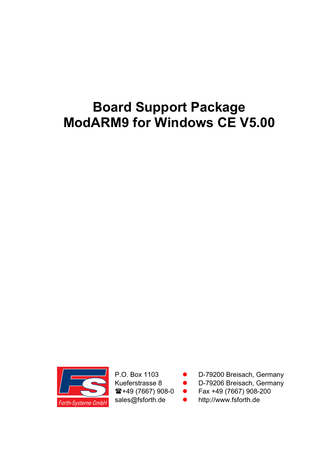# **Board Support Package ModARM9 for Windows CE V5.00**



Kueferstrasse 8 **· D-79206 Breisach, Germany**<br>**☎+49 (7667) 908-0 · Fax +49 (7667) 908-200** 

- P.O. Box 1103 D-79200 Breisach, Germany
	-
	- $\bullet$  Fax +49 (7667) 908-200
- sales@fsforth.de http://www.fsforth.de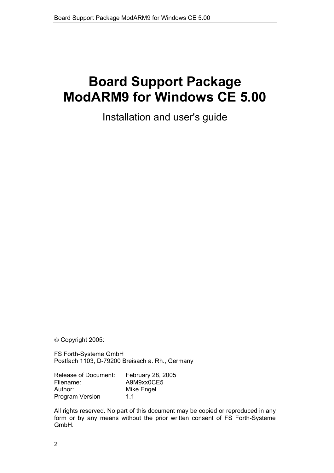# **Board Support Package ModARM9 for Windows CE 5.00**

Installation and user's guide

Copyright 2005:

FS Forth-Systeme GmbH Postfach 1103, D-79200 Breisach a. Rh., Germany

Release of Document: February 28, 2005 Filename: A9M9xx0CE5 Author: Mike Engel Program Version 1.1

All rights reserved. No part of this document may be copied or reproduced in any form or by any means without the prior written consent of FS Forth-Systeme GmbH.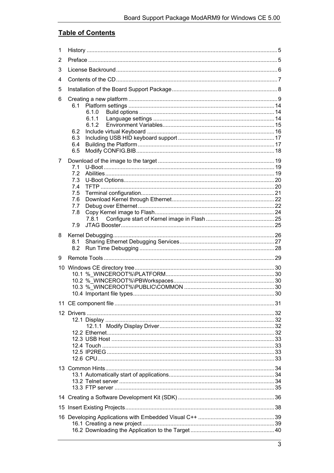# **Table of Contents**

| 1 |                                                            |  |  |  |
|---|------------------------------------------------------------|--|--|--|
| 2 |                                                            |  |  |  |
| 3 |                                                            |  |  |  |
| 4 |                                                            |  |  |  |
| 5 |                                                            |  |  |  |
| 6 | 6.1<br>6.1.0<br>6.1.1<br>6.1.2<br>6.2<br>6.3<br>6.4<br>6.5 |  |  |  |
| 7 |                                                            |  |  |  |
|   | 7.1<br>7.2                                                 |  |  |  |
|   | 7.3                                                        |  |  |  |
|   | 7.4<br>7.5                                                 |  |  |  |
|   | 7.6                                                        |  |  |  |
|   | 7.7                                                        |  |  |  |
|   | 7.8<br>7.8.1                                               |  |  |  |
|   | 7.9                                                        |  |  |  |
| 8 |                                                            |  |  |  |
|   | 8.1                                                        |  |  |  |
|   | 8.2                                                        |  |  |  |
| 9 |                                                            |  |  |  |
|   |                                                            |  |  |  |
|   |                                                            |  |  |  |
|   |                                                            |  |  |  |
|   |                                                            |  |  |  |
|   |                                                            |  |  |  |
|   |                                                            |  |  |  |
|   |                                                            |  |  |  |
|   |                                                            |  |  |  |
|   |                                                            |  |  |  |
|   |                                                            |  |  |  |
|   |                                                            |  |  |  |
|   |                                                            |  |  |  |
|   |                                                            |  |  |  |
|   |                                                            |  |  |  |
|   |                                                            |  |  |  |
|   |                                                            |  |  |  |
|   |                                                            |  |  |  |
|   |                                                            |  |  |  |
|   |                                                            |  |  |  |
|   |                                                            |  |  |  |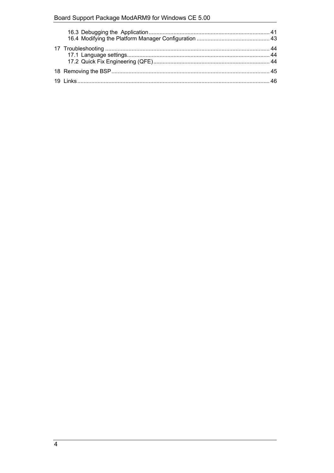# Board Support Package ModARM9 for Windows CE 5.00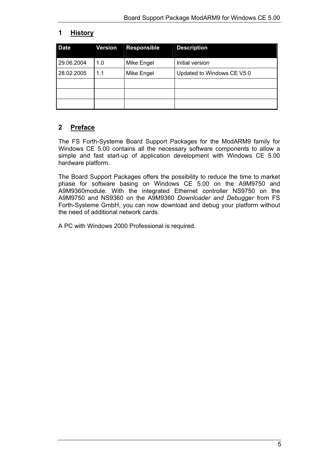# <span id="page-4-0"></span>**1 History**

| <b>Date</b> | <b>Version</b> | <b>Responsible</b> | <b>Description</b>         |
|-------------|----------------|--------------------|----------------------------|
| 29.06.2004  | 1.0            | Mike Engel         | Initial version            |
| 28.02.2005  | 1.1            | Mike Engel         | Updated to Windows CE V5.0 |
|             |                |                    |                            |
|             |                |                    |                            |
|             |                |                    |                            |

# **2 Preface**

The FS Forth-Systeme Board Support Packages for the ModARM9 family for Windows CE 5.00 contains all the necessary software components to allow a simple and fast start-up of application development with Windows CE 5.00 hardware platform.

The Board Support Packages offers the possibility to reduce the time to market phase for software basing on Windows CE 5.00 on the A9M9750 and A9M9360module. With the integrated Ethernet controller NS9750 on the A9M9750 and NS9360 on the A9M9360 *Downloader and Debugger* from FS Forth-Systeme GmbH, you can now download and debug your platform without the need of additional network cards.

A PC with Windows 2000 Professional is required.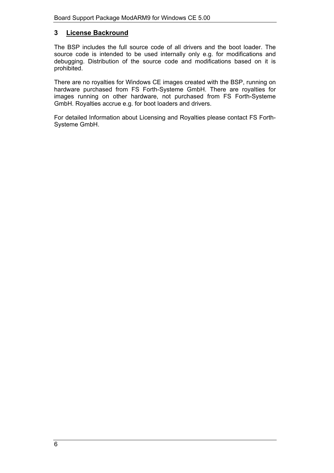# <span id="page-5-0"></span>**3 License Backround**

The BSP includes the full source code of all drivers and the boot loader. The source code is intended to be used internally only e.g. for modifications and debugging. Distribution of the source code and modifications based on it is prohibited.

There are no royalties for Windows CE images created with the BSP, running on hardware purchased from FS Forth-Systeme GmbH. There are royalties for images running on other hardware, not purchased from FS Forth-Systeme GmbH. Royalties accrue e.g. for boot loaders and drivers.

For detailed Information about Licensing and Royalties please contact FS Forth-Systeme GmbH.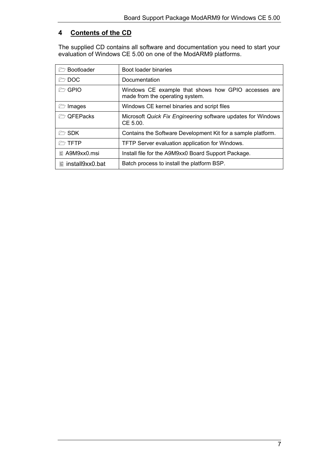# <span id="page-6-0"></span>**4 Contents of the CD**

The supplied CD contains all software and documentation you need to start your evaluation of Windows CE 5.00 on one of the ModARM9 platforms.

| <del>n</del> Bootloader | Boot loader binaries                                                                   |
|-------------------------|----------------------------------------------------------------------------------------|
| $\triangleright$ DOC    | Documentation                                                                          |
| r <sup>→</sup> GPIO     | Windows CE example that shows how GPIO accesses are<br>made from the operating system. |
| <b>□ Images</b>         | Windows CE kernel binaries and script files                                            |
| <b>P</b> OFEPacks       | Microsoft Quick Fix Engineering software updates for Windows<br>CE 5.00.               |
| $\triangleright$ SDK    | Contains the Software Development Kit for a sample platform.                           |
| <b>P</b> TFTP           | TFTP Server evaluation application for Windows.                                        |
| $\equiv$ A9M9xx0.msi    | Install file for the A9M9xx0 Board Support Package.                                    |
| install9xx0.bat<br>e.   | Batch process to install the platform BSP.                                             |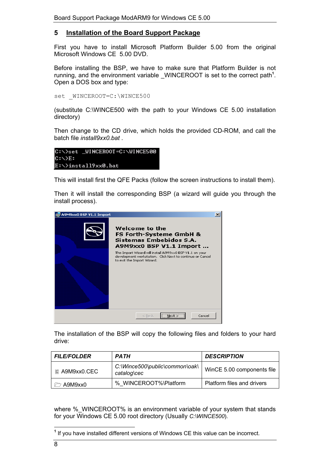# <span id="page-7-0"></span>**5 Installation of the Board Support Package**

First you have to install Microsoft Platform Builder 5.00 from the original Microsoft Windows CE 5.00 DVD.

Before installing the BSP, we have to make sure that Platform Builder is not running, and the environment variable \_WINCEROOT is set to the correct path<sup>[1](#page-7-1)</sup>. Open a DOS box and type:

```
set WINCEROOT=C:\WINCE500
```
(substitute C:\WINCE500 with the path to your Windows CE 5.00 installation directory)

Then change to the CD drive, which holds the provided CD-ROM, and call the batch file *install9xx0.bat* .



This will install first the QFE Packs (follow the screen instructions to install them).

Then it will install the corresponding BSP (a wizard will guide you through the install process).



The installation of the BSP will copy the following files and folders to your hard drive:

| <b>FILE/FOLDER</b>    | <b>PATH</b>                                   | <b>DESCRIPTION</b>         |
|-----------------------|-----------------------------------------------|----------------------------|
| 圁 A9M9xx0.CEC         | C:\Wince500\public\common\oak\<br>catalog\cec | WinCE 5.00 components file |
| $\rightarrow$ A9M9xx0 | % WINCEROOT%\Platform                         | Platform files and drivers |

where % WINCEROOT% is an environment variable of your system that stands for your Windows CE 5.00 root directory (Usually *C:\WINCE500*).

<span id="page-7-1"></span>**<sup>1</sup>**<br><sup>1</sup> If you have installed different versions of Windows CE this value can be incorrect.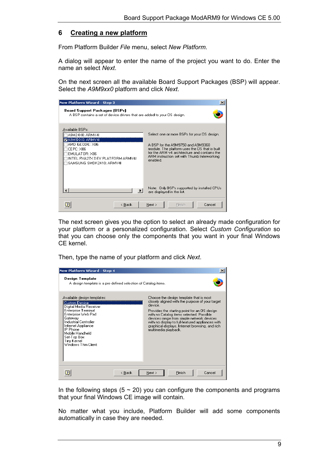## <span id="page-8-0"></span>**6 Creating a new platform**

From Platform Builder *File* menu, select *New Platform*.

A dialog will appear to enter the name of the project you want to do. Enter the name an select *Next*.

On the next screen all the available Board Support Packages (BSP) will appear. Select the *A9M9xx0* platform and click *Next*.

| <b>New Platform Wizard - Step 3</b>                                                                                              |                                                                                                                                                                                                |
|----------------------------------------------------------------------------------------------------------------------------------|------------------------------------------------------------------------------------------------------------------------------------------------------------------------------------------------|
| <b>Board Support Packages (BSPs)</b><br>A BSP contains a set of device drivers that are added to your OS design.                 |                                                                                                                                                                                                |
| Available BSPs:<br>A9M24X0: ARMV4I                                                                                               | Select one or more BSPs for your OS design.                                                                                                                                                    |
| ASMSXX0: ARMV4I<br>IAMD GEODE: X86<br>CEPC: X86<br>EMULATOR: X86<br>INTEL PXA27X DEV PLATFORM:ARMV4L<br>SAMSUNG SMDK2410: ARMV4I | A BSP for the A9M9750 and A9M9360<br>module. The platform uses the OS that is built<br>for the ARM v4 architecture and contains the<br>ARM instruction set with Thumb Interworking<br>enabled. |
|                                                                                                                                  | Note: Only BSPs supported by installed CPUs<br>are displayed in the list.                                                                                                                      |
| < Back                                                                                                                           | Cancel<br>Finish<br>Next                                                                                                                                                                       |

The next screen gives you the option to select an already made configuration for your platform or a personalized configuration. Select *Custom Configuration* so that you can choose only the components that you want in your final Windows CE kernel.

Then, type the name of your platform and click *Next*.



In the following steps  $(5 \sim 20)$  you can configure the components and programs that your final Windows CE image will contain.

No matter what you include, Platform Builder will add some components automatically in case they are needed.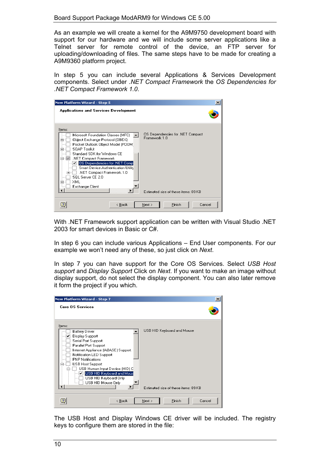As an example we will create a kernel for the A9M9750 development board with support for our hardware and we will include some server applications like a Telnet server for remote control of the device, an FTP server for uploading/downloading of files. The same steps have to be made for creating a A9M9360 platform project.

In step 5 you can include several Applications & Services Development components. Select under *.NET Compact Framework* the *OS Dependencies for .NET Compact Framework 1.0*.

| New Platform Wizard - Step 5                                                                                                                                                                                                                                                                                                                                                                                                                                                             | $\boldsymbol{\times}$ |
|------------------------------------------------------------------------------------------------------------------------------------------------------------------------------------------------------------------------------------------------------------------------------------------------------------------------------------------------------------------------------------------------------------------------------------------------------------------------------------------|-----------------------|
| Applications and Services Development                                                                                                                                                                                                                                                                                                                                                                                                                                                    |                       |
| Items:<br>OS Dependencies for .NET Compact<br>Microsoft Foundation Classes (MFC).<br>Framework 1.0<br>Object Exchange Protocol (OBEX)<br>$\overline{+}$<br>Pocket Outlook Object Model (POOM)<br>SOAP Toolkit<br>∓<br>Standard SDK for Windows CE<br>.NET Compact Framework.<br>▭<br>OS Dependencies for .NET Comp<br>↵<br>Smart Device Authentication Utility<br>.NET Compact Framework 1.0<br>SQL Server CE 2.0<br>XML<br>曱<br>Exchange Client<br>Estimated size of these items: 89 KB |                       |
| Finish<br>Next<br>< Back                                                                                                                                                                                                                                                                                                                                                                                                                                                                 | Cancel                |

With .NET Framework support application can be written with Visual Studio .NET 2003 for smart devices in Basic or C#.

 $\overline{\phantom{a}}$ 

In step 6 you can include various Applications – End User components. For our example we won't need any of these, so just click on *Next*.

In step 7 you can have support for the Core OS Services. Select *USB Host support* and *Display Support* Click on *Next*. If you want to make an image without display support, do not select the display component. You can also later remove it form the project if you which.

| New Platform Wizard - Step 7                                 | $\pmb{\times}$                       |  |
|--------------------------------------------------------------|--------------------------------------|--|
| Core OS Services                                             |                                      |  |
| Items:                                                       |                                      |  |
| <b>Battery Driver</b>                                        | USB HID Keyboard and Mouse           |  |
| Display Support<br>✔                                         |                                      |  |
| Serial Port Support                                          |                                      |  |
| Parallel Port Support<br>Internet Appliance (IABASE) Support |                                      |  |
| Notification LED Support                                     |                                      |  |
| <b>PNP Notifications</b>                                     |                                      |  |
| <b>USB Host Support</b><br>Fŀ                                |                                      |  |
| USB Human Input Device (HID) C<br>USB HID Keyboard and Mous  |                                      |  |
| USB HID Keyboard Only                                        |                                      |  |
| USB HID Mouse Only<br>$1 - 1 - 1$                            |                                      |  |
| ٠                                                            | Estimated size of these items: 89 KB |  |
|                                                              |                                      |  |
| 2<br>< Back                                                  | Finish<br>Cancel<br>Next             |  |
|                                                              |                                      |  |

The USB Host and Display Windows CE driver will be included. The registry keys to configure them are stored in the file: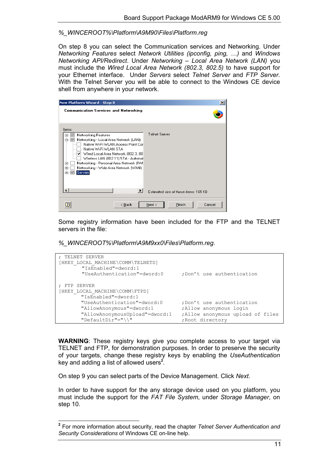#### *%\_WINCEROOT%\Platform\A9M90\Files\Platform.reg*

On step 8 you can select the Communication services and Networking. Under *Networking Features* select *Network Utilities (ipconfig, ping, …)* and *Windows Networking API/Redirect*. Under *Networking – Local Area Network (LAN)* you must include the *Wired Local Area Network (802.3, 802.5)* to have support for your Ethernet interface. Under *Servers* select *Telnet Server* and *FTP Server*. With the Telnet Server you will be able to connect to the Windows CE device shell from anywhere in your network.

| New Platform Wizard - Step 8                                                                                                                                                                                                                                                                                                                                | $\times$                              |
|-------------------------------------------------------------------------------------------------------------------------------------------------------------------------------------------------------------------------------------------------------------------------------------------------------------------------------------------------------------|---------------------------------------|
| <b>Communication Services and Networking</b>                                                                                                                                                                                                                                                                                                                |                                       |
| Items:<br>Networking Features<br>$\boxed{+}$<br>Networking - Local Area Network (LAN)<br>Fŀ<br>Native Wi-Fi WLAN Access Point Corl<br>Native Wi-Fi WLAN STA<br>✔ Wired Local Area Network [802.3, 80]<br>Wireless LAN (802.11) STA - Automal<br>Networking - Personal Area Network (PAN<br>曱<br>Networking - Wide Area Network (WAN).<br>中<br>Servers<br>Ĥŀ | <b>Telnet Server</b>                  |
| $\overline{\phantom{a}}$                                                                                                                                                                                                                                                                                                                                    | Estimated size of these items: 165 KB |
| < Back                                                                                                                                                                                                                                                                                                                                                      | Finish<br>Cancel<br>Next >            |

Some registry information have been included for the FTP and the TELNET servers in the file:

*%\_WINCEROOT%\Platform\A9M9xx0\Files\Platform.reg*.

```
; TELNET SERVER 
[HKEY_LOCAL_MACHINE\COMM\TELNETD] 
        "IsEnabled"=dword:1 
       "UseAuthentication"=dword:0 ;Don't use authentication 
; FTP SERVER 
[HKEY_LOCAL_MACHINE\COMM\FTPD] 
       "IsEnabled"=dword:1 
       "UseAuthentication"=dword:0 ;Don't use authentication 
       "AllowAnonymous"=dword:1 ;Allow anonymous login 
       "AllowAnonymousUpload"=dword:1 ;Allow anonymous upload of files 
      "Definition=""\n""
<br>
;Root directory
```
**WARNING**: These registry keys give you complete access to your target via TELNET and FTP, for demonstration purposes. In order to preserve the security of your targets, change these registry keys by enabling the *UseAuthentication* key and adding a list of allowed users**<sup>2</sup>** [.](#page-10-0)

On step 9 you can select parts of the Device Management. Click *Next*.

In order to have support for the any storage device used on you platform, you must include the support for the *FAT File System*, under *Storage Manager*, on step 10.

<span id="page-10-0"></span>**2** For more information about security, read the chapter *Telnet Server Authentication and Security Considerations* of Windows CE on-line help.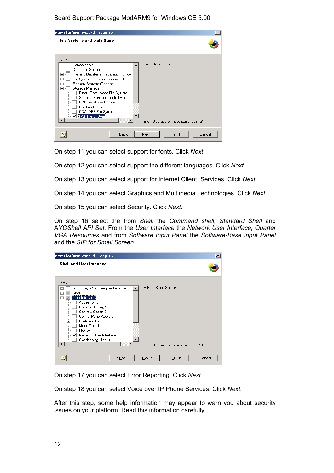| New Platform Wizard - Step 10                                                                                                                                                                                                                                                                                                                                                                                                                  | $\mathsf{x}$ |
|------------------------------------------------------------------------------------------------------------------------------------------------------------------------------------------------------------------------------------------------------------------------------------------------------------------------------------------------------------------------------------------------------------------------------------------------|--------------|
| File Systems and Data Store                                                                                                                                                                                                                                                                                                                                                                                                                    |              |
| Items:<br><b>FAT File System</b><br>Compression<br>Database Support<br>File and Database Replication (Choosi<br>Fŀ<br>File System - Internal (Choose 1)<br>ஈ<br>Registry Storage (Choose 1)<br>曱<br>Storage Manager<br>o.<br>Binary Rom Image File System<br>Storage Manager Control Panel Ar<br>EDB Database Engine<br><b>Partition Driver</b><br>CD/UDFS File System<br><b>FAT File System</b><br>◡<br>Estimated size of these items: 229 KB |              |
| Finish<br>Cancel<br>< Back<br>Next >                                                                                                                                                                                                                                                                                                                                                                                                           |              |

On step 11 you can select support for fonts. Click *Next*.

On step 12 you can select support the different languages. Click *Next*.

On step 13 you can select support for Internet Client Services. Click *Next*.

On step 14 you can select Graphics and Multimedia Technologies. Click *Next*.

On step 15 you can select Security. Click *Next*.

On step 16 select the from *Shell* the *Command shell, Standard Shell* and A*YGShell API Set*. From the *User Interface* the *Network User Interface, Quarter VGA Resources* and from *Software Input Panel* the *Software-Base Input Panel* and the *SIP for Small Screen.*

| New Platform Wizard - Step 16                                                                                                                                                                                                                                                                                                                   | $\vert x \vert$ |
|-------------------------------------------------------------------------------------------------------------------------------------------------------------------------------------------------------------------------------------------------------------------------------------------------------------------------------------------------|-----------------|
| Shell and User Interface                                                                                                                                                                                                                                                                                                                        |                 |
| Items:<br>SIP for Small Screens<br>Graphics, Windowing and Events<br>$\overline{+}\cdots$<br>Shell<br><b>+</b> +<br>User Interface<br>Ė⊡√<br>Accessibility<br>Common Dialog Support<br>Controls Option B<br>Control Panel Applets<br>Customizable III<br>中<br>Menu Tool Tip<br>Mouse<br>Network User Interface<br>◡<br><b>Overlapping Menus</b> |                 |
| Estimated size of these items: 777 KB                                                                                                                                                                                                                                                                                                           |                 |
| Finish<br>$\leq$ $B$ ack<br>Cancel<br>$N$ ext >                                                                                                                                                                                                                                                                                                 |                 |

On step 17 you can select Error Reporting. Click *Next*.

On step 18 you can select Voice over IP Phone Services. Click *Next*.

After this step, some help information may appear to warn you about security issues on your platform. Read this information carefully.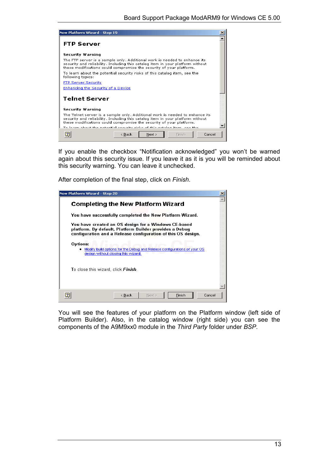

If you enable the checkbox "Notification acknowledged" you won't be warned again about this security issue. If you leave it as it is you will be reminded about this security warning. You can leave it unchecked.

After completion of the final step, click on *Finish*.



You will see the features of your platform on the Platform window (left side of Platform Builder). Also, in the catalog window (right side) you can see the components of the A9M9xx0 module in the *Third Party* folder under *BSP*.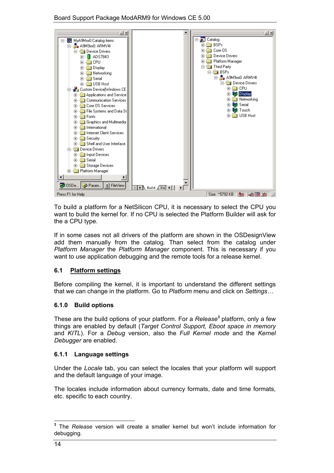<span id="page-13-0"></span>

To build a platform for a NetSilicon CPU, it is necessary to select the CPU you want to build the kernel for. If no CPU is selected the Platform Builder will ask for the a CPU type.

If in some cases not all drivers of the platform are shown in the OSDesignView add them manually from the catalog. Than select from the catalog under *Platform Manager* the *Platform Manager* component. This is necessary if you want to use application debugging and the remote tools for a release kernel.

# **6.1 Platform settings**

Before compiling the kernel, it is important to understand the different settings that we can change in the platform. Go to *Platform* menu and click on *Settings…*

# **6.1.0 Build options**

These are the build options of your platform. For a *Release[3](#page-13-1)* platform, only a few things are enabled by default (*Target Control Support, Eboot space in memory* and *KITL*). For a *Debug* version, also the *Full Kernel mode* and the *Kernel Debugger* are enabled.

# **6.1.1 Language settings**

Under the *Locale* tab, you can select the locales that your platform will support and the default language of your image.

The locales include information about currency formats, date and time formats, etc. specific to each country.

<span id="page-13-1"></span>**3** The *Release* version will create a smaller kernel but won't include information for debugging.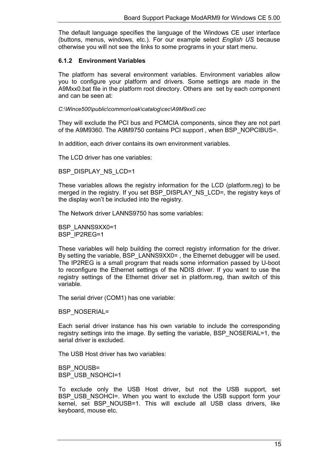<span id="page-14-0"></span>The default language specifies the language of the Windows CE user interface (buttons, menus, windows, etc.). For our example select *English US* because otherwise you will not see the links to some programs in your start menu.

## **6.1.2 Environment Variables**

The platform has several environment variables. Environment variables allow you to configure your platform and drivers. Some settings are made in the A9Mxx0.bat file in the platform root directory. Others are set by each component and can be seen at:

*C:\Wince500\public\common\oak\catalog\cec\A9M9xx0.cec* 

They will exclude the PCI bus and PCMCIA components, since they are not part of the A9M9360. The A9M9750 contains PCI support , when BSP\_NOPCIBUS=.

In addition, each driver contains its own environment variables.

The LCD driver has one variables:

BSP\_DISPLAY\_NS\_LCD=1

These variables allows the registry information for the LCD (platform.reg) to be merged in the registry. If you set BSP\_DISPLAY\_NS\_LCD=, the registry keys of the display won't be included into the registry.

The Network driver LANNS9750 has some variables:

BSP\_LANNS9XX0=1 BSP\_IP2REG=1

These variables will help building the correct registry information for the driver. By setting the variable, BSP\_LANNS9XX0= , the Ethernet debugger will be used. The IP2REG is a small program that reads some information passed by U-boot to reconfigure the Ethernet settings of the NDIS driver. If you want to use the registry settings of the Ethernet driver set in platform.reg, than switch of this variable.

The serial driver (COM1) has one variable:

BSP\_NOSERIAL=

Each serial driver instance has his own variable to include the corresponding registry settings into the image. By setting the variable, BSP\_NOSERIAL=1, the serial driver is excluded.

The USB Host driver has two variables:

BSP\_NOUSB= BSP\_USB\_NSOHCI=1

To exclude only the USB Host driver, but not the USB support, set BSP\_USB\_NSOHCI=. When you want to exclude the USB support form your kernel, set BSP NOUSB=1. This will exclude all USB class drivers, like keyboard, mouse etc.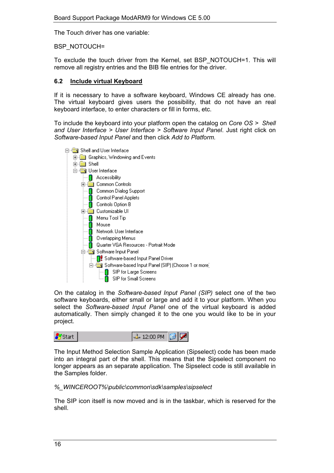<span id="page-15-0"></span>The Touch driver has one variable:

BSP\_NOTOUCH=

To exclude the touch driver from the Kernel, set BSP\_NOTOUCH=1. This will remove all registry entries and the BIB file entries for the driver.

# **6.2 Include virtual Keyboard**

If it is necessary to have a software keyboard, Windows CE already has one. The virtual keyboard gives users the possibility, that do not have an real keyboard interface, to enter characters or fill in forms, etc.

To include the keyboard into your platform open the catalog on *Core OS > Shell and User Interface > User Interface > Software Input Panel*. Just right click on *Software-based Input Panel* and then click *Add to Platform.* 



On the catalog in the *Software-based Input Panel (SIP)* select one of the two software keyboards, either small or large and add it to your platform. When you select the *Software-based Input Panel* one of the virtual keyboard is added automatically. Then simply changed it to the one you would like to be in your project.



The Input Method Selection Sample Application (Sipselect) code has been made into an integral part of the shell. This means that the Sipselect component no longer appears as an separate application. The Sipselect code is still available in the Samples folder.

# *%\_WINCEROOT%\public\common\sdk\samples\sipselect*

The SIP icon itself is now moved and is in the taskbar, which is reserved for the shell.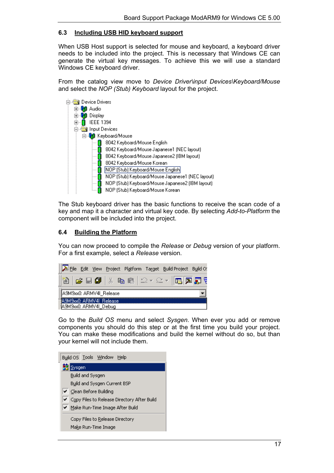## <span id="page-16-0"></span>**6.3 Including USB HID keyboard support**

When USB Host support is selected for mouse and keyboard, a keyboard driver needs to be included into the project. This is necessary that Windows CE can generate the virtual key messages. To achieve this we will use a standard Windows CE keyboard driver.

From the catalog view move to *Device Driver\input Devices\Keyboard/Mouse* and select the *NOP (Stub) Keyboard* layout for the project.



The Stub keyboard driver has the basic functions to receive the scan code of a key and map it a character and virtual key code. By selecting *Add-to-Platform* the component will be included into the project.

#### **6.4 Building the Platform**

You can now proceed to compile the *Release* or *Debug* version of your platform. For a first example, select a *Release* version.



Go to the *Build OS* menu and select *Sysgen*. When ever you add or remove components you should do this step or at the first time you build your project. You can make these modifications and build the kernel without do so, but than your kernel will not include them.

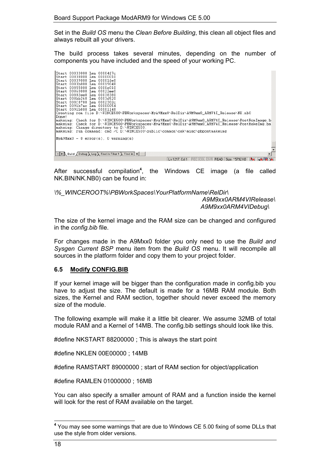<span id="page-17-0"></span>Set in the *Build OS* menu the *Clean Before Building*, this clean all object files and always rebuilt all your drivers.

The build process takes several minutes, depending on the number of components you have included and the speed of your working PC.

| Start 00833000 Len 00004f7c                                                                       |  |
|---------------------------------------------------------------------------------------------------|--|
| Start 00838000 Len 00000010                                                                       |  |
| Start 00839000 Len 00001fe8                                                                       |  |
| Start 0083b000 Len 00019048                                                                       |  |
| Start 00855000 Len 0000a010                                                                       |  |
| Start 00860000 Len 00022ee0                                                                       |  |
| Start 00882ee0 Len 00038380                                                                       |  |
| Start 008bb260 Len 0003d520                                                                       |  |
| Start 008f8780 Len 0002302c                                                                       |  |
| Start 0091b7ac Len 00000054                                                                       |  |
| Start 0091b800 Len 00001148                                                                       |  |
| Creating rom file D:\WINCE500\PBWorkspaces\MvA9Mxx0\RelDir\A9M9xx0 ARMV4I Release\NK.nb0          |  |
| Done!                                                                                             |  |
| makeimg: Check for D:\WINCE500\PBWorkspaces\MvA9Mxx0\RelDir\A9M9xx0 ARMV4I Release\PostRomImage.b |  |
| makeimg: Check for D:\WINCE500\PBWorkspaces\MvA9Mxx0\RelDir\A9M9xx0 ARMV4I Release\PostMakeImg.ba |  |
| makeimg: Change directory to D:\WINCE500.                                                         |  |
| makeimg: run command: cmd /C D:\WINCE500\public\common\oak\misc\pbpostmakeimg                     |  |
|                                                                                                   |  |
| $MyA9Mxx0 - 0 error(s)$ , 0 warning(s)                                                            |  |
|                                                                                                   |  |
|                                                                                                   |  |
|                                                                                                   |  |
| Build $\&$ Debug $\&$ Log $\&$ Find in Files 1 $\&$ Find in $\ \cdot\ $                           |  |
| Ln 1217, Col 1 HBEC ICOL IOVB IREAD   Size: ~5792 KB   米國   全動反動 3動                               |  |

After successful compilation**[4](#page-17-1)** , the Windows CE image (a file called NK.BIN/NK.NB0) can be found in:

*\%\_WINCEROOT%\PBWorkSpaces\YourPlatformName\RelDir\* 

*A9M9xx0ARM4VIRelease\ A9M9xx0ARM4VIDebug\*

The size of the kernel image and the RAM size can be changed and configured in the *config.bib* file.

For changes made in the A9Mxx0 folder you only need to use the *Build and Sysgen Current BSP* menu item from the *Build OS* menu. It will recompile all sources in the platform folder and copy them to your project folder.

# **6.5 Modify CONFIG.BIB**

If your kernel image will be bigger than the configuration made in config.bib you have to adjust the size. The default is made for a 16MB RAM module. Both sizes, the Kernel and RAM section, together should never exceed the memory size of the module.

The following example will make it a little bit clearer. We assume 32MB of total module RAM and a Kernel of 14MB. The config.bib settings should look like this.

#define NKSTART 88200000 ; This is always the start point

#define NKLEN 00E00000 ; 14MB

#define RAMSTART 89000000 ; start of RAM section for object/application

#define RAMLEN 01000000 ; 16MB

You can also specify a smaller amount of RAM and a function inside the kernel will look for the rest of RAM available on the target.

<span id="page-17-1"></span>**4** You may see some warnings that are due to Windows CE 5.00 fixing of some DLLs that use the style from older versions.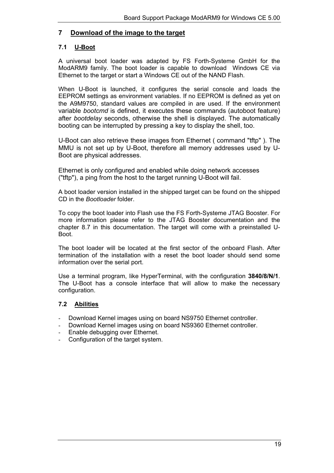# <span id="page-18-0"></span>**7 Download of the image to the target**

# **7.1 U-Boot**

A universal boot loader was adapted by FS Forth-Systeme GmbH for the ModARM9 family. The boot loader is capable to download Windows CE via Ethernet to the target or start a Windows CE out of the NAND Flash.

When U-Boot is launched, it configures the serial console and loads the EEPROM settings as environment variables. If no EEPROM is defined as yet on the A9M9750, standard values are compiled in are used. If the environment variable *bootcmd* is defined, it executes these commands (autoboot feature) after *bootdelay* seconds, otherwise the shell is displayed. The automatically booting can be interrupted by pressing a key to display the shell, too.

U-Boot can also retrieve these images from Ethernet ( command "tftp" ). The MMU is not set up by U-Boot, therefore all memory addresses used by U-Boot are physical addresses.

Ethernet is only configured and enabled while doing network accesses ("tftp"), a ping from the host to the target running U-Boot will fail.

A boot loader version installed in the shipped target can be found on the shipped CD in the *Bootloader* folder.

To copy the boot loader into Flash use the FS Forth-Systeme JTAG Booster. For more information please refer to the JTAG Booster documentation and the chapter 8.7 in this documentation. The target will come with a preinstalled U-Boot.

The boot loader will be located at the first sector of the onboard Flash. After termination of the installation with a reset the boot loader should send some information over the serial port.

Use a terminal program, like HyperTerminal, with the configuration **3840/8/N/1**. The U-Boot has a console interface that will allow to make the necessary configuration.

# **7.2 Abilities**

- Download Kernel images using on board NS9750 Ethernet controller.
- Download Kernel images using on board NS9360 Ethernet controller.
- Enable debugging over Ethernet.
- Configuration of the target system.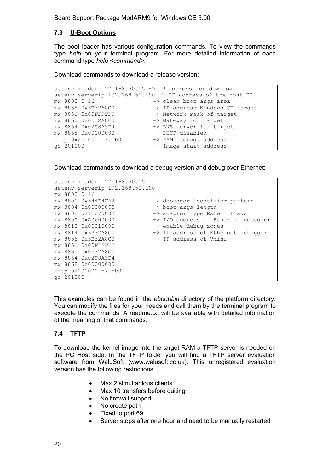# <span id="page-19-0"></span>**7.3 U-Boot Options**

The boot loader has various configuration commands. To view the commands type *help* on your terminal program. For more detailed information of each command type *help <command>*.

Download commands to download a release version:

```
setenv ipaddr 192.168.50.55 -> IP address for download
setenv serverip 192.168.50.190 \rightarrow IP address of the host PC<br>mw 8800 0 16 \rightarrow clean boot args area
mw 8800 0 16 -> clean boot args area<br>mw 8858 0x3B32A8C0 -> IP address Windows CI
mw 8858 0x3B32A8C0 -> IP address Windows CE target<br>mw 885C 0x00FFFFFFF -> Network mask of target
mw 885C 0x00FFFFFF - -> Network mask of target<br>mw 8860 0x0532A8C0 -> Gateway for target
mw 8860 0x0532A8C0 -> Gateway for target<br>mw 8864 0x02C8A3D4 -> DNS server for tare
                                         -> DNS server for target
mw 8868 0x00000000 -> DHCP disabled<br>tftp 0x200000 nk.nb0 -> RAM storage ao
                                         -> RAM storage address
go 201000 -> Image start address
```
Download commands to download a debug version and debug over Ethernet:

| setenv ipaddr 192.168.50.55    |              |                    |  |                                     |  |
|--------------------------------|--------------|--------------------|--|-------------------------------------|--|
| setenv serverip 192.168.50.190 |              |                    |  |                                     |  |
|                                | mw 8800 0 16 |                    |  |                                     |  |
|                                |              | mw 8800 0x544F4F42 |  | -> debugger identifier pattern      |  |
|                                |              | mw 8804 0x00000058 |  | -> boot args length                 |  |
|                                |              | mw 8808 0x11070007 |  | -> adapter type Eshell flags        |  |
|                                |              | mw 880C 0xA0600000 |  | -> I/O address of Ethernet debugger |  |
|                                |              | mw 8810 0x00010000 |  | $\rightarrow$ enable debug zones    |  |
|                                |              | mw 8814 0x3732A8C0 |  | -> IP address of Ethernet debugger  |  |
|                                |              | mw 8858 0x3B32A8C0 |  | -> IP address of Vmini              |  |
|                                |              | mw 885C 0x00FFFFFF |  |                                     |  |
|                                |              | mw 8860 0x0532A8C0 |  |                                     |  |
|                                |              | mw 8864 0x02C8A3D4 |  |                                     |  |
|                                |              | mw 8868 0x00000000 |  |                                     |  |
| tftp $0x200000$ nk.nb $0$      |              |                    |  |                                     |  |
|                                | go 201000    |                    |  |                                     |  |

This examples can be found in the *eboot\bin* directory of the platform directory. You can modify the files for your needs and call them by the terminal program to execute the commands. A readme.txt will be available with detailed information of the meaning of that commands.

# **7.4 TFTP**

To download the kernel image into the target RAM a TFTP server is needed on the PC Host side. In the TFTP folder you will find a TFTP server evaluation software from WaluSoft (www.walusoft.co.uk). This unregistered evaluation version has the following restrictions.

- Max 2 simultanious clients
- Max 10 transfers before quiting
- No firewall support
- No create path
- Fixed to port 69
- Server stops after one hour and need to be manually restarted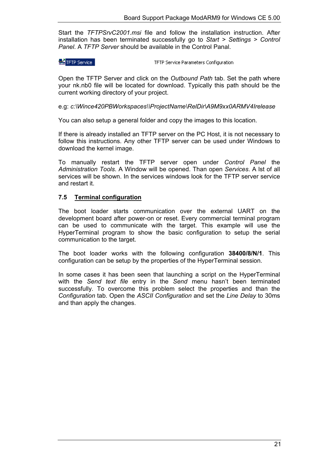<span id="page-20-0"></span>Start the *TFTPSrvC2001.msi* file and follow the installation instruction. After installation has been terminated successfully go to *Start > Settings > Control Panel*. A *TFTP Server* should be available in the Control Panal.

#### **M**TFTP Service

TFTP Service Parameters Configuration

Open the TFTP Server and click on the *Outbound Path* tab. Set the path where your nk.nb0 file will be located for download. Typically this path should be the current working directory of your project.

#### e.g: *c:\Wince420PBWorkspaces\\ProjectName\RelDir\A9M9xx0ARMV4Irelease*

You can also setup a general folder and copy the images to this location.

If there is already installed an TFTP server on the PC Host, it is not necessary to follow this instructions. Any other TFTP server can be used under Windows to download the kernel image.

To manually restart the TFTP server open under *Control Panel* the *Administration Tools*. A Window will be opened. Than open *Services*. A lst of all services will be shown. In the services windows look for the TFTP server service and restart it.

## **7.5 Terminal configuration**

The boot loader starts communication over the external UART on the development board after power-on or reset. Every commercial terminal program can be used to communicate with the target. This example will use the HyperTerminal program to show the basic configuration to setup the serial communication to the target.

The boot loader works with the following configuration **38400/8/N/1**. This configuration can be setup by the properties of the HyperTerminal session.

In some cases it has been seen that launching a script on the HyperTerminal with the *Send text file* entry in the *Send* menu hasn't been terminated successfully. To overcome this problem select the properties and than the *Configuration* tab. Open the *ASCII Configuration* and set the *Line Delay* to 30ms and than apply the changes.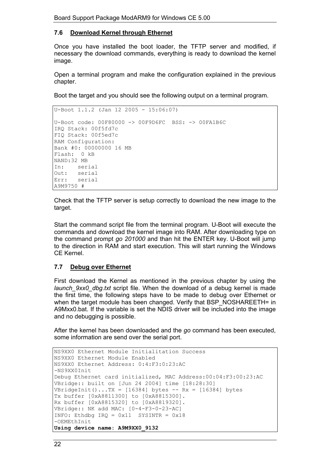## <span id="page-21-0"></span>**7.6 Download Kernel through Ethernet**

Once you have installed the boot loader, the TFTP server and modified, if necessary the download commands, everything is ready to download the kernel image.

Open a terminal program and make the configuration explained in the previous chapter.

Boot the target and you should see the following output on a terminal program.

```
U-Boot 1.1.2 (Jan 12 2005 - 15:06:07) 
U-Boot code: 00F80000 -> 00F9D6FC BSS: -> 00FA1B6C 
IRQ Stack: 00f5fd7c 
FIQ Stack: 00f5ed7c 
RAM Configuration: 
Bank #0: 00000000 16 MB 
Flash: 0 kB 
NAND:32 MB 
In: serial 
Out: serial 
Err: serial 
A9M9750 #
```
Check that the TFTP server is setup correctly to download the new image to the target.

Start the command script file from the terminal program. U-Boot will execute the commands and download the kernel image into RAM. After downloading type on the command prompt *go 201000* and than hit the ENTER key. U-Boot will jump to the direction in RAM and start execution. This will start running the Windows CE Kernel.

#### **7.7 Debug over Ethernet**

First download the Kernel as mentioned in the previous chapter by using the *launch* 9xx0 dbg.txt script file. When the download of a debug kernel is made the first time, the following steps have to be made to debug over Ethernet or when the target module has been changed. Verify that BSP\_NOSHAREETH= in A9Mxx0.bat. If the variable is set the NDIS driver will be included into the image and no debugging is possible.

After the kernel has been downloaded and the *go* command has been executed, some information are send over the serial port.

```
NS9XX0 Ethernet Module Initialitation Success 
NS9XX0 Ethernet Module Enabled 
NS9XX0 Ethernet Address: 0:4:F3:0:23:AC 
-NS9XX0Init 
Debug Ethernet card initialized, MAC Address:00:04:F3:00:23:AC 
VBridge:: built on [Jun 24 2004] time [18:28:30] 
VBridgeInit()...TX = [16384] bytes -- Rx = [16384] bytes
Tx buffer [0xA8811300] to [0xA8815300]. 
Rx buffer [0xA8815320] to [0xA8819320]. 
VBridge:: NK add MAC: [0-4-F3-0-23-AC] 
INFO: Ethdbg IRQ = 0x11 SYSINTR = 0x18 
-OEMEthInit 
Using device name: A9M9XX0_9132
```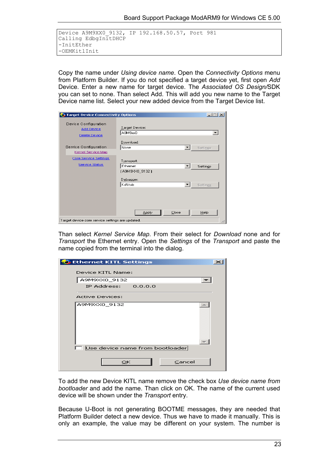```
Device A9M9XX0_9132, IP 192.168.50.57, Port 981 
Calling EdbgInitDHCP
-InitEther 
-OEMKitlInit
```
Copy the name under *Using device name*. Open the *Connectivity Options* menu from Platform Builder. If you do not specified a target device yet, first open *Add*  Device. Enter a new name for target device. The *Associated OS Design/*SDK you can set to none. Than select Add. This will add you new name to the Target Device name list. Select your new added device from the Target Device list.

| Target Device Connectivity Options                         | $ \Box$ $\times$                            |  |  |
|------------------------------------------------------------|---------------------------------------------|--|--|
| Device Configuration<br><b>Add Device</b><br>Delete Device | Target Device:<br>OxxeMPA<br>▾<br>Download: |  |  |
| Service Configuration                                      | None<br>Settings                            |  |  |
| Kernel Service Map                                         |                                             |  |  |
| Core Service Settings                                      | Transport:                                  |  |  |
| Service Status                                             | Ethernet<br>Settings<br>▼∣                  |  |  |
|                                                            | [A9M9XX0 9132]                              |  |  |
|                                                            | Debugger:                                   |  |  |
|                                                            | KdStub<br><b>Settings</b>                   |  |  |
|                                                            |                                             |  |  |
|                                                            | Close<br><b>Apply</b><br>$He$ lp            |  |  |
| Target device core service settings are updated.<br>í.     |                                             |  |  |

Than select *Kernel Service Map*. From their select for *Download* none and for *Transport* the Ethernet entry. Open the *Settings* of the *Transport* and paste the name copied from the terminal into the dialog.

| <b>C</b> Ethernet KITL Settings | $\mathbf{\times}$ |
|---------------------------------|-------------------|
| Device KITL Name:               |                   |
| A9M9XX0_9132                    |                   |
| IP Address: $0.0.0.0$           |                   |
| <b>Active Devices:</b>          |                   |
| A9M9XX0_9132                    |                   |
|                                 |                   |
| Use device name from bootloader |                   |
| Cancel<br>OK                    |                   |

To add the new Device KITL name remove the check box *Use device name from bootloader* and add the name. Than click on OK. The name of the current used device will be shown under the *Transport* entry.

Because U-Boot is not generating BOOTME messages, they are needed that Platform Builder detect a new device. Thus we have to made it manually. This is only an example, the value may be different on your system. The number is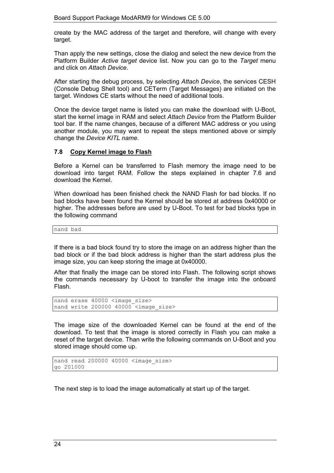<span id="page-23-0"></span>create by the MAC address of the target and therefore, will change with every target.

Than apply the new settings, close the dialog and select the new device from the Platform Builder *Active target* device list. Now you can go to the *Target* menu and click on *Attach Device*.

After starting the debug process, by selecting *Attach Device*, the services CESH (Console Debug Shell tool) and CETerm (Target Messages) are initiated on the target. Windows CE starts without the need of additional tools.

Once the device target name is listed you can make the download with U-Boot, start the kernel image in RAM and select *Attach Device* from the Platform Builder tool bar. If the name changes, because of a different MAC address or you using another module, you may want to repeat the steps mentioned above or simply change the *Device KITL name*.

#### **7.8 Copy Kernel image to Flash**

Before a Kernel can be transferred to Flash memory the image need to be download into target RAM. Follow the steps explained in chapter 7.6 and download the Kernel.

When download has been finished check the NAND Flash for bad blocks. If no bad blocks have been found the Kernel should be stored at address 0x40000 or higher. The addresses before are used by U-Boot. To test for bad blocks type in the following command

nand bad

If there is a bad block found try to store the image on an address higher than the bad block or if the bad block address is higher than the start address plus the image size, you can keep storing the image at 0x40000.

After that finally the image can be stored into Flash. The following script shows the commands necessary by U-boot to transfer the image into the onboard Flash.

```
nand erase 40000 <image_size> 
nand write 200000 40000 <image size>
```
The image size of the downloaded Kernel can be found at the end of the download. To test that the image is stored correctly in Flash you can make a reset of the target device. Than write the following commands on U-Boot and you stored image should come up.

```
nand read 200000 40000 <image size>
go 201000
```
The next step is to load the image automatically at start up of the target.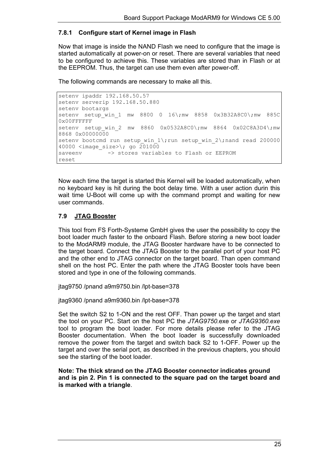# <span id="page-24-0"></span>**7.8.1 Configure start of Kernel image in Flash**

Now that image is inside the NAND Flash we need to configure that the image is started automatically at power-on or reset. There are several variables that need to be configured to achieve this. These variables are stored than in Flash or at the EEPROM. Thus, the target can use them even after power-off.

The following commands are necessary to make all this.

```
setenv ipaddr 192.168.50.57 
setenv serverip 192.168.50.880 
setenv bootargs 
setenv setup win 1 mw 8800 0 16\;mw 8858 0x3B32A8C0\;mw 885C
0x00FFFFFF 
setenv setup win 2 mw 8860 0x0532A8C0\;mw 8864 0x02C8A3D4\;mw
8868 0x00000000 
setenv bootcmd run setup win 1\;run setup win 2\;rnand read 200000
40000 <image_size>\; go 201000 
saveenv \overline{\phantom{a}} -> stores variables to Flash or EEPROM
reset
```
Now each time the target is started this Kernel will be loaded automatically, when no keyboard key is hit during the boot delay time. With a user action durin this wait time U-Boot will come up with the command prompt and waiting for new user commands.

# **7.9 JTAG Booster**

This tool from FS Forth-Systeme GmbH gives the user the possibility to copy the boot loader much faster to the onboard Flash. Before storing a new boot loader to the ModARM9 module, the JTAG Booster hardware have to be connected to the target board. Connect the JTAG Booster to the parallel port of your host PC and the other end to JTAG connector on the target board. Than open command shell on the host PC. Enter the path where the JTAG Booster tools have been stored and type in one of the following commands.

jtag9750 /pnand a9m9750.bin /lpt-base=378

jtag9360 /pnand a9m9360.bin /lpt-base=378

Set the switch S2 to 1-ON and the rest OFF. Than power up the target and start the tool on your PC. Start on the host PC the *JTAG9750.*exe or *JTAG9360.exe* tool to program the boot loader. For more details please refer to the JTAG Booster documentation. When the boot loader is successfully downloaded remove the power from the target and switch back S2 to 1-OFF. Power up the target and over the serial port, as described in the previous chapters, you should see the starting of the boot loader.

**Note: The thick strand on the JTAG Booster connector indicates ground and is pin 2. Pin 1 is connected to the square pad on the target board and is marked with a triangle**.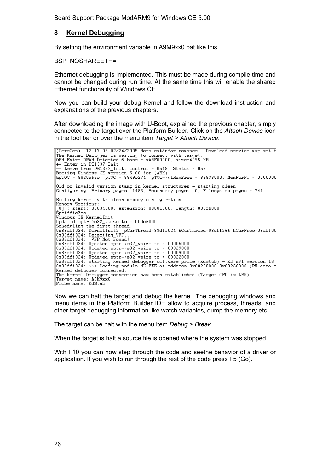# <span id="page-25-0"></span>**8 Kernel Debugging**

By setting the environment variable in A9M9xx0.bat like this

BSP\_NOSHAREETH=

Ethernet debugging is implemented. This must be made during compile time and cannot be changed during run time. At the same time this will enable the shared Ethernet functionality of Windows CE.

Now you can build your debug Kernel and follow the download instruction and explanations of the previous chapters.

After downloading the image with U-Boot, explained the previous chapter, simply connected to the target over the Platform Builder. Click on the *Attach Device* icon in the tool bar or over the menu item *Target > Attach Device*.

 $12:17:05$  02/24/2005 Hora estándar romance: Download service map set t  $\overline{(CoreCon)}$ (COFECON) IZ.17.05 02/24/2005 HORE EStandar romance. De<br>The Kernel Debugger is waiting to connect with target.<br>OEM Extra DRAM Detected @ base = xA8F00000, size=4095 MB UEN EXTR DRAN DETECTED WORSE = XASPUUUUU, SIZE=4095 MB<br>|-+ Enter in DS1337\_Init. Control = 0x18, Status = 0x3.<br>|-- Leave from DS1337\_Init. Control = 0x18, Status = 0x3.<br>|Booting Windows CE version 5.00 for (ARM)<br>|&pTOC = 8 |<br>Old or invalid version stamp in kernel structures - starting clean!<br>|Configuring: Primary pages: 1483, Secondary pages: 0, Filesystem pages = 741 Booting kernel with clean memory configuration:<br>Memory Sections: lr n 1. start: 88834000, extension: 00001000, length: 005cb000 |Luj . start<br>|Sp=ffffc7cc Windows CE KernelInit Windows CE Rernelinit<br>Updated eptr->e32\_vsize to = 000c6000<br>|Scheduling the first thread.<br>|Ox88dff024: KernelInit2: pCurThread=88dff024 hCurThread=08dff266 hCurProc=08dff00<br>|Ox88dff024: Detecting VFP...<br>|Ax88dff024: WFP No  $[0x88dff024:$  Detecting VPF...<br>  $0x88dff024:$  VFP Not Found!<br>  $0x88dff024:$  Updated eptr->e32\_vsize to = 00006000<br>
0x88dff024: Updated eptr->e32\_vsize to = 00029000<br>
0x88dff024: Updated eptr->e32\_vsize to = 00009000<br>
0x88df 0x88dff024: >>> Loading module NK.EXE at address 0x88200000-0x882C6000 (RW data a Kernel debugger connected. ncentry - Commodourned and the search of the Kernel Debugger connection has been established (Target CPU is ARM).<br>Target name: A9M9xx0 Probe name: KdStub

Now we can halt the target and debug the kernel. The debugging windows and menu items in the Platform Builder IDE allow to acquire process, threads, and other target debugging information like watch variables, dump the memory etc.

The target can be halt with the menu item *Debug > Break*.

When the target is halt a source file is opened where the system was stopped.

With F10 you can now step through the code and seethe behavior of a driver or application. If you wish to run through the rest of the code press F5 (Go).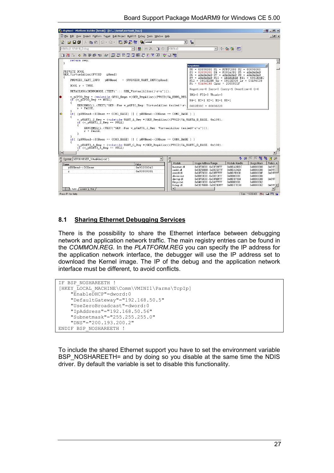<span id="page-26-0"></span>

# **8.1 Sharing Ethernet Debugging Services**

There is the possibility to share the Ethernet interface between debugging network and application network traffic. The main registry entries can be found in the *COMMON.REG*. In the *PLATFORM.REG* you can specify the IP address for the application network interface, the debugger will use the IP address set to download the Kernel image. The IP of the debug and the application network interface must be different, to avoid conflicts.

```
IF BSP_NOSHAREETH ! 
[HKEY_LOCAL_MACHINE\Comm\VMINI1\Parms\TcpIp] 
     "EnableDHCP"=dword:0 
     "DefaultGateway"="192.168.50.5" 
     "UseZeroBroadcast"=dword:0 
     "IpAddress"="192.168.50.56" 
     "Subnetmask"="255.255.255.0" 
     "DNS"="200.193.200.2" 
ENDIF BSP NOSHAREETH !
```
To include the shared Ethernet support you have to set the environment variable BSP\_NOSHAREETH= and by doing so you disable at the same time the NDIS driver. By default the variable is set to disable this functionality.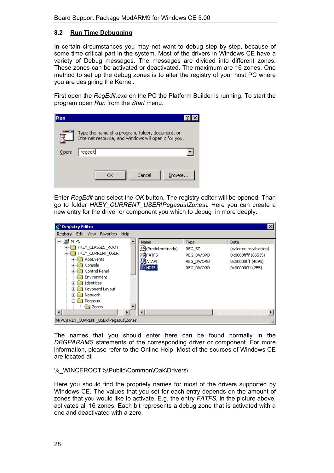## <span id="page-27-0"></span>**8.2 Run Time Debugging**

In certain circumstances you may not want to debug step by step, because of some time critical part in the system. Most of the drivers in Windows CE have a variety of Debug messages. The messages are divided into different zones. These zones can be activated or deactivated. The maximum are 16 zones. One method to set up the debug zones is to alter the registry of your host PC where you are designing the Kernel.

First open the *RegEdit.exe* on the PC the Platform Builder is running. To start the program open *Run* from the *Start* menu.

| <b>Run</b> |                                                                                                          |  |  |  |  |
|------------|----------------------------------------------------------------------------------------------------------|--|--|--|--|
|            | Type the name of a program, folder, document, or<br>Internet resource, and Windows will open it for you. |  |  |  |  |
| Open:      | regedit                                                                                                  |  |  |  |  |
|            | Cancel<br>Browse<br>ΟK                                                                                   |  |  |  |  |

Enter *RegEdit* and select the *OK* button. The registry editor will be opened. Than go to folder *HKEY\_CURRENT\_USER\Pegasus\Zones\*. Here you can create a new entry for the driver or component you which to debug in more deeply.

| <b>Registry Editor</b>                                                                                                                                                                                                                      |                                                                                    |                                                       | $\vert x \vert$                                                                               |
|---------------------------------------------------------------------------------------------------------------------------------------------------------------------------------------------------------------------------------------------|------------------------------------------------------------------------------------|-------------------------------------------------------|-----------------------------------------------------------------------------------------------|
| Edit View Favorites<br>Help<br>Registry                                                                                                                                                                                                     |                                                                                    |                                                       |                                                                                               |
| ⊟… 鳳 Mi PC<br>HKEY_CLASSES_ROOT<br>$\overline{+}$<br>HKEY_CURRENT_USER<br>⋿<br>AppEvents<br>Console<br>Control Panel<br>Environment<br><b>Identities</b><br>$\overline{+}$<br>Keyboard Layout<br>Network<br>Pegasus<br>$\blacksquare$ Zones | Name<br>ab](Predeterminado)<br><b>BU</b> FATFS<br><b>BU</b> ATAPI<br><b>BUNDIS</b> | Type<br>REG SZ<br>REG DWORD<br>REG DWORD<br>REG DWORD | Data<br>(valor no establecido)<br>0x0000ffff (65535)<br>0x00000fff (4095)<br>0x000000ff (255) |
| Mi PC\HKEY_CURRENT_USER\Pegasus\Zones                                                                                                                                                                                                       |                                                                                    |                                                       |                                                                                               |

The names that you should enter here can be found normally in the *DBGPARAMS* statements of the corresponding driver or component. For more information, please refer to the Online Help. Most of the sources of Windows CE are located at

#### % WINCEROOT%\Public\Common\Oak\Drivers\

Here you should find the propriety names for most of the drivers supported by Windows CE. The values that you set for each entry depends on the amount of zones that you would like to activate. E.g. the entry *FATFS,* in the picture above, activates all 16 zones. Each bit represents a debug zone that is activated with a one and deactivated with a zero.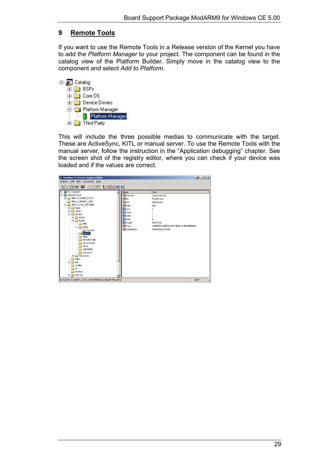# <span id="page-28-0"></span>**9 Remote Tools**

If you want to use the Remote Tools in a Release version of the Kernel you have to add the *Platform Manager* to your project. The component can be found in the catalog view of the Platform Builder. Simply move in the catalog view to the component and select *Add to Platform*.



This will include the three possible medias to communicate with the target. These are ActiveSync, KITL or manual server. To use the Remote Tools with the manual server, follow the instruction in the "Application debugging" chapter. See the screen shot of the registry editor, where you can check if your device was loaded and if the values are correct.

| <b>HEILIEX</b><br>cil Windows CE Remote Registry Editor     |                    |                                        |  |  |  |
|-------------------------------------------------------------|--------------------|----------------------------------------|--|--|--|
| Registry Edit View Connection Help                          |                    |                                        |  |  |  |
| $3$ 2 $m$ $n$<br>9. 5 명이 되 지역이                              |                    |                                        |  |  |  |
| 田  My Computer                                              | Name               | Data                                   |  |  |  |
| Default Device                                              | ab](Default)       | (value not set)                        |  |  |  |
| HE HKEY_CLASSES_ROOT                                        | abj <sub>DLL</sub> | FlashFX.DLL                            |  |  |  |
| HKEY_CURRENT_USER                                           | ab]FSD             | FATFSD.DLL                             |  |  |  |
| <b>E-BI HKEY_LOCAL_MACHINE</b>                              | ab Prefix          | <b>DSK</b>                             |  |  |  |
| FI-FIII Audio<br><b>Comm</b>                                | <b>D</b> loctl     | 4                                      |  |  |  |
| 围<br><b>Drivers</b>                                         | <b>D</b> Order     |                                        |  |  |  |
| 南<br>Active                                                 | <b>D</b> Index     |                                        |  |  |  |
| <b>BuiltIn</b><br>⊟                                         | <b>D</b> Start     | n                                      |  |  |  |
| AFD                                                         | <b>D</b> Length    | 33554432                               |  |  |  |
| Atapi                                                       | ab IClass          | {A4E7EDDA-E575-4252-9D6B-4195D48BB865} |  |  |  |
| Device <sub>0</sub>                                         | ab ProfileName     | FlashFXDisk1Profile                    |  |  |  |
| FlashFX                                                     |                    |                                        |  |  |  |
| <b>NDIS</b>                                                 |                    |                                        |  |  |  |
| PWRBUTTON                                                   |                    |                                        |  |  |  |
| sdmmcloader                                                 |                    |                                        |  |  |  |
| Serial                                                      |                    |                                        |  |  |  |
| WAPIMAN                                                     |                    |                                        |  |  |  |
| WaveDev                                                     |                    |                                        |  |  |  |
| Resources                                                   |                    |                                        |  |  |  |
| Ident                                                       |                    |                                        |  |  |  |
| F- <sup>1</sup> init                                        |                    |                                        |  |  |  |
| Loader<br>nls                                               |                    |                                        |  |  |  |
| <b>Platform</b>                                             |                    |                                        |  |  |  |
| Services<br>œ.                                              |                    |                                        |  |  |  |
|                                                             |                    |                                        |  |  |  |
| [Default Device\HKEY_LOCAL_MACHINE\Drivers\BuiltIn\FlashFX] |                    | NUM                                    |  |  |  |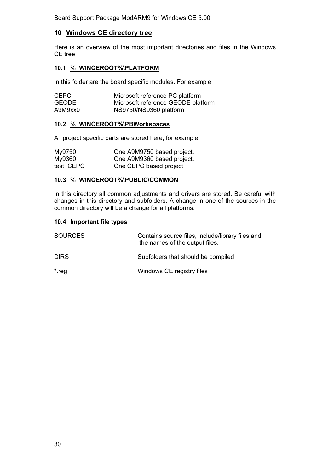# <span id="page-29-0"></span>**10 Windows CE directory tree**

Here is an overview of the most important directories and files in the Windows CE tree

## **10.1 %\_WINCEROOT%\PLATFORM**

In this folder are the board specific modules. For example:

| <b>CEPC</b>  | Microsoft reference PC platform    |
|--------------|------------------------------------|
| <b>GEODE</b> | Microsoft reference GEODE platform |
| A9M9xx0      | NS9750/NS9360 platform             |

## **10.2 %\_WINCEROOT%\PBWorkspaces**

All project specific parts are stored here, for example:

| My9750    | One A9M9750 based project. |
|-----------|----------------------------|
| My9360    | One A9M9360 based project. |
| test CEPC | One CEPC based project     |

## **10.3 %\_WINCEROOT%\PUBLIC\COMMON**

In this directory all common adjustments and drivers are stored. Be careful with changes in this directory and subfolders. A change in one of the sources in the common directory will be a change for all platforms.

## **10.4 Important file types**

| <b>SOURCES</b> | Contains source files, include/library files and<br>the names of the output files. |
|----------------|------------------------------------------------------------------------------------|
| <b>DIRS</b>    | Subfolders that should be compiled                                                 |
| *.reg          | Windows CE registry files                                                          |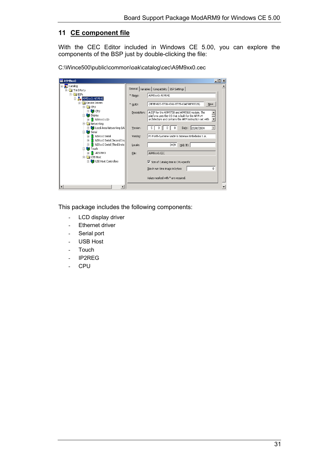# <span id="page-30-0"></span>**11 CE component file**

With the CEC Editor included in Windows CE 5.00, you can explore the components of the BSP just by double-clicking the file:

| C:\Wince500\public\common\oak\catalog\cec\A9M9xx0.cec |
|-------------------------------------------------------|
|-------------------------------------------------------|

| A9M9xx0                                                                                                                                                                                                                                                                                                                                                                                                                                                                                      |                                                                                             | $ \Box$ $\times$                                                                                                                                                                                                                                                                                                                                                                                                                                                                                                                                                         |
|----------------------------------------------------------------------------------------------------------------------------------------------------------------------------------------------------------------------------------------------------------------------------------------------------------------------------------------------------------------------------------------------------------------------------------------------------------------------------------------------|---------------------------------------------------------------------------------------------|--------------------------------------------------------------------------------------------------------------------------------------------------------------------------------------------------------------------------------------------------------------------------------------------------------------------------------------------------------------------------------------------------------------------------------------------------------------------------------------------------------------------------------------------------------------------------|
| <b>E</b> Catalog<br><b>E</b> Third Party<br><b>FIGHT</b> BSPs<br>A9M9xx0: ARMV4I<br>Device Drivers<br>F.<br><b>N</b> CPU<br>⊞ minicpu<br><b>Display</b><br>白<br>NS9xx0LCD<br>$\overline{+}$<br><b>E</b> Networking<br><b>Til</b> Local Area Networking (LA<br>围<br><b>Cold</b> Serial<br>F<br>NS9xx0 Serial<br>圧<br>6<br>N59xx0 Serial (Second Ins<br>庘<br><b>B</b> N59xx0 Serial (Third Insta<br>中<br><b>Th</b> Touch<br>Fŀ<br><b>ADS7843</b><br>FI-C USB Host<br>E-TI USB Host Controllers | General<br>* Name:<br>*<br>GUID:<br>Description:<br>Version:<br>Vendor:<br>Locale:<br>File: | Variables   Compatibility   BSP Settings  <br>A9M9xx0: ARMV4I<br>{9E8E482D-8700-4D61-B735-63AE98E93D28}<br><b>New</b><br>A BSP for the A9M9750 and A9M9360 module. The<br>platform uses the OS that is built for the ARM v4<br>architecture and contains the ARM instruction set with<br>▼<br>$\blacksquare$<br>28/06/2004<br>Date:<br>5<br>0.<br>FS Forth-Systeme GmbH & Sistemas Embebidos S.A.<br>0409<br>Help ID:<br>A9M9xx0.CEC<br>○ Size of Catalog item is CPU-specific<br>$\mathbf{0}$<br>Size in run-time image in bytes:<br>Values marked with * are required. |
|                                                                                                                                                                                                                                                                                                                                                                                                                                                                                              |                                                                                             |                                                                                                                                                                                                                                                                                                                                                                                                                                                                                                                                                                          |

This package includes the following components:

- LCD display driver
- Ethernet driver
- Serial port
- USB Host
- Touch
- IP2REG
- CPU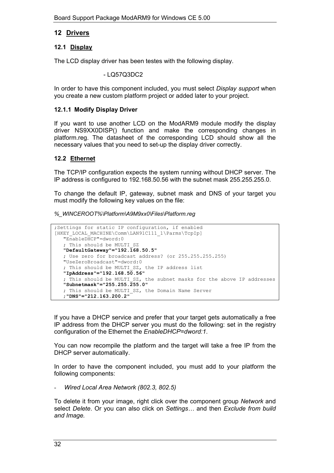# <span id="page-31-0"></span>**12 Drivers**

# **12.1 Display**

The LCD display driver has been testes with the following display.

- LQ57Q3DC2

In order to have this component included, you must select *Display support* when you create a new custom platform project or added later to your project.

# **12.1.1 Modify Display Driver**

If you want to use another LCD on the ModARM9 module modify the display driver NS9XX0DISP() function and make the corresponding changes in platform.reg. The datasheet of the corresponding LCD should show all the necessary values that you need to set-up the display driver correctly.

# **12.2 Ethernet**

The TCP/IP configuration expects the system running without DHCP server. The IP address is configured to 192.168.50.56 with the subnet mask 255.255.255.0.

To change the default IP, gateway, subnet mask and DNS of your target you must modify the following key values on the file:

*%\_WINCEROOT%\Platform\A9M9xx0\Files\Platform.reg* 

```
;Settings for static IP configuration, if enabled 
[HKEY_LOCAL_MACHINE\Comm\LAN91C111_1\Parms\TcpIp] 
   "EnableDHCP"=dword:0 
    ; This should be MULTI_SZ 
   "DefaultGateway"="192.168.50.5" 
   ; Use zero for broadcast address? (or 255.255.255.255) 
   "UseZeroBroadcast"=dword:0 
   ; This should be MULTI SZ, the IP address list
   "IpAddress"="192.168.50.56" 
   ; This should be MULTI SZ, the subnet masks for the above IP addresses
   "Subnetmask"="255.255.255.0" 
    ; This should be MULTI_SZ, the Domain Name Server 
    ;"DNS"="212.163.200.2"
```
If you have a DHCP service and prefer that your target gets automatically a free IP address from the DHCP server you must do the following: set in the registry configuration of the Ethernet the *EnableDHCP=dword:1*.

You can now recompile the platform and the target will take a free IP from the DHCP server automatically.

In order to have the component included, you must add to your platform the following components:

- *Wired Local Area Network (802.3, 802.5)* 

To delete it from your image, right click over the component group *Network* and select *Delete*. Or you can also click on *Settings…* and then *Exclude from build and Image.*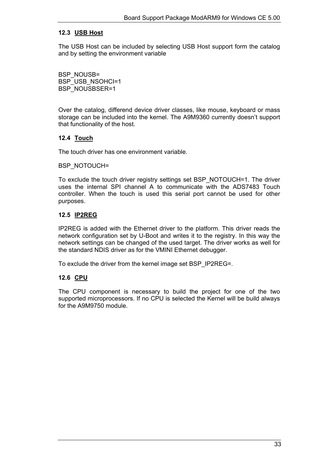# <span id="page-32-0"></span>**12.3 USB Host**

The USB Host can be included by selecting USB Host support form the catalog and by setting the environment variable

BSP\_NOUSB= BSP\_USB\_NSOHCI=1 BSP\_NOUSBSER=1

Over the catalog, differend device driver classes, like mouse, keyboard or mass storage can be included into the kernel. The A9M9360 currently doesn't support that functionality of the host.

## **12.4 Touch**

The touch driver has one environment variable.

#### BSP\_NOTOUCH=

To exclude the touch driver registry settings set BSP\_NOTOUCH=1. The driver uses the internal SPI channel A to communicate with the ADS7483 Touch controller. When the touch is used this serial port cannot be used for other purposes.

#### **12.5 IP2REG**

IP2REG is added with the Ethernet driver to the platform. This driver reads the network configuration set by U-Boot and writes it to the registry. In this way the network settings can be changed of the used target. The driver works as well for the standard NDIS driver as for the VMINI Ethernet debugger.

To exclude the driver from the kernel image set BSP\_IP2REG=.

# **12.6 CPU**

The CPU component is necessary to build the project for one of the two supported microprocessors. If no CPU is selected the Kernel will be build always for the A9M9750 module.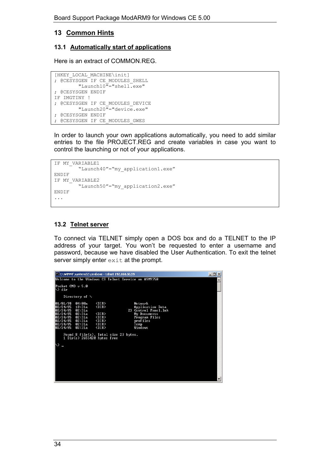# <span id="page-33-0"></span>**13 Common Hints**

## **13.1 Automatically start of applications**

Here is an extract of COMMON.REG.

```
[HKEY_LOCAL_MACHINE\init] 
; @CESYSGEN IF CE MODULES SHELL
        "Launch10"="shell.exe"
; @CESYSGEN ENDIF 
IF IMGTINY ! 
; @CESYSGEN IF CE_MODULES_DEVICE 
         "Launch20"="device.exe" 
; @CESYSGEN ENDIF 
; @CESYSGEN IF CE_MODULES_GWES
```
In order to launch your own applications automatically, you need to add similar entries to the file PROJECT.REG and create variables in case you want to control the launching or not of your applications.

```
IF MY_VARIABLE1 
          "Launch40"="my_application1.exe" 
ENDIF 
IF MY_VARIABLE2 
          "Launch50"="my_application2.exe" 
ENDIF 
...
```
# **13.2 Telnet server**

To connect via TELNET simply open a DOS box and do a TELNET to the IP address of your target. You won't be requested to enter a username and password, because we have disabled the User Authentication. To exit the telnet server simply enter  $ext{exit}$  at the prompt.

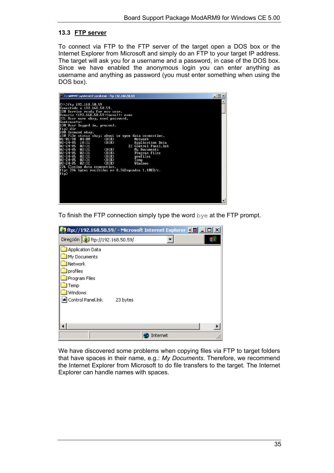## <span id="page-34-0"></span>**13.3 FTP server**

To connect via FTP to the FTP server of the target open a DOS box or the Internet Explorer from Microsoft and simply do an FTP to your target IP address. The target will ask you for a username and a password, in case of the DOS box. Since we have enabled the anonymous login you can enter anything as username and anything as password (you must enter something when using the DOS box).

| E:\WINNT\system32\cmd.exe - ftp 192.168.50.59                           | $ \Box$ $\times$ |
|-------------------------------------------------------------------------|------------------|
|                                                                         |                  |
| C:\>ftp 192.168.50.59                                                   |                  |
| Conectado a 192.168.50.59.                                              |                  |
| 220 Service ready for new user.<br>Usuario (192.168.50.59:(none)): none |                  |
| 331 User name okay, need password.                                      |                  |
| Contrase±a:                                                             |                  |
| 230 User logged in, proceed.                                            |                  |
| lftv> dir                                                               |                  |
| 200 Command okay.                                                       |                  |
| 150 File status okay; about to open data connection.                    |                  |
| 01-01-98<br>$\langle$ DIR><br>04:00<br>Network                          |                  |
| 02-24-05 10:31<br>$\langle DIR \rangle$<br>Application Data             |                  |
| 02-24-05 02:31<br>23 Control Panel.lnk                                  |                  |
| 102-24-05<br>$\langle$ DIR $\rangle$<br>02:31<br>My Documents           |                  |
| 102-24-05 02:31<br>$\langle$ DIR $\rangle$<br>Program Files             |                  |
| 02-24-05 02:31<br>$\langle$ DIR><br>profiles                            |                  |
| Temp<br>02-24-05 02:31<br>$\langle$ DIR $\rangle$                       |                  |
| 102-24-05<br>02:31<br>$\langle$ DIR $\rangle$<br>Windows                |                  |
| 226 Closing data connection.                                            |                  |
| ftp: 396 bytes recibidos en 0,36Segundos 1,10KB/s.                      |                  |
| ftp>                                                                    |                  |
|                                                                         |                  |
|                                                                         |                  |
|                                                                         |                  |
|                                                                         |                  |
|                                                                         |                  |
|                                                                         |                  |
|                                                                         |                  |
|                                                                         |                  |

To finish the FTP connection simply type the word bye at the FTP prompt.

| <b>图 ftp://192.168.50.59/ - Microsoft Internet Explorer 日圆 日口 ×</b>                                                                    |
|----------------------------------------------------------------------------------------------------------------------------------------|
| Dirección <b>Q</b> ftp://192.168.50.59/                                                                                                |
| <b>Application Data</b><br>My Documents<br>Network<br>profiles<br>Program Files<br>Temp<br>Windows<br>an Control Panel.ink<br>23 bytes |
|                                                                                                                                        |
| Internet                                                                                                                               |

We have discovered some problems when copying files via FTP to target folders that have spaces in their name, e.g.: *My Documents*. Therefore, we recommend the Internet Explorer from Microsoft to do file transfers to the target. The Internet Explorer can handle names with spaces.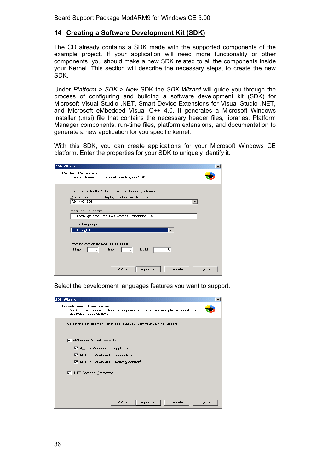# <span id="page-35-0"></span>**14 Creating a Software Development Kit (SDK)**

The CD already contains a SDK made with the supported components of the example project. If your application will need more functionality or other components, you should make a new SDK related to all the components inside your Kernel. This section will describe the necessary steps, to create the new SDK.

Under *Platform > SDK > New* SDK the *SDK Wizard* will guide you through the process of configuring and building a software development kit (SDK) for Microsoft Visual Studio .NET, Smart Device Extensions for Visual Studio .NET, and Microsoft eMbedded Visual C++ 4.0. It generates a Microsoft Windows Installer (.msi) file that contains the necessary header files, libraries, Platform Manager components, run-time files, platform extensions, and documentation to generate a new application for you specific kernel.

With this SDK, you can create applications for your Microsoft Windows CE platform. Enter the properties for your SDK to uniquely identify it.

| <b>SDK Wizard</b>                                                               | $\mathbf{x}$ |
|---------------------------------------------------------------------------------|--------------|
| <b>Product Properties</b><br>Provide information to uniquely identify your SDK. |              |
| The this file for the SDK requires the following information:                   |              |
| Product name that is displayed when .msi file runs:                             |              |
| A9Mxx0_SDK                                                                      |              |
| Manufacturer name:                                                              |              |
| FS Forth-Systeme GmbH & Sistemas Embebidos S.A.                                 |              |
| Locale language:                                                                |              |
| U.S. English                                                                    |              |
|                                                                                 |              |
| Product version (format: 00.00.0000)                                            |              |
| 5<br>Minor:<br>0<br>0<br>Major:<br>Build:                                       |              |
|                                                                                 |              |
|                                                                                 |              |
| Siguiente ><br>Cancelar<br>< Atrás                                              | Ayuda        |
|                                                                                 |              |

Select the development languages features you want to support.

| <b>SDK Wizard</b>                                                                                                                         | $\times$ |  |  |
|-------------------------------------------------------------------------------------------------------------------------------------------|----------|--|--|
| <b>Development Languages</b><br>An SDK can support multiple development languages and multiple frameworks for<br>application development. |          |  |  |
| Select the development languages that you want your SDK to support.                                                                       |          |  |  |
| $\overline{\triangledown}$ eMbedded Visual C++ 4.0 support                                                                                |          |  |  |
| $\overline{\triangledown}$ ATL for Windows CE applications                                                                                |          |  |  |
| $\triangleright$ MFC for Windows CE applications                                                                                          |          |  |  |
| MFC for Windows CE ActiveX controls                                                                                                       |          |  |  |
| <b>▽</b> .NET Compact Framework                                                                                                           |          |  |  |
| Siguiente ><br>Cancelar<br>< <u>A</u> trás                                                                                                | Ayuda    |  |  |
|                                                                                                                                           |          |  |  |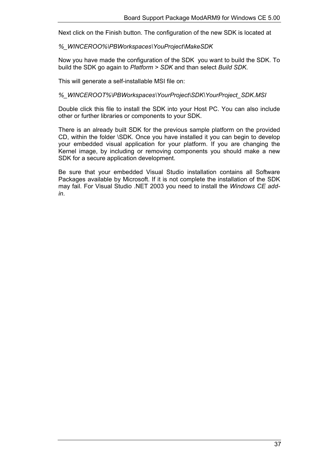Next click on the Finish button. The configuration of the new SDK is located at

*%\_WINCEROO%\PBWorkspaces\YouProject\MakeSDK* 

Now you have made the configuration of the SDK you want to build the SDK. To build the SDK go again to *Platform > SDK* and than select *Build SDK*.

This will generate a self-installable MSI file on:

#### *%\_WINCEROOT%\PBWorkspaces\YourProject\SDK\YourProject\_SDK.MSI*

Double click this file to install the SDK into your Host PC. You can also include other or further libraries or components to your SDK.

There is an already built SDK for the previous sample platform on the provided CD, within the folder \SDK. Once you have installed it you can begin to develop your embedded visual application for your platform. If you are changing the Kernel image, by including or removing components you should make a new SDK for a secure application development.

Be sure that your embedded Visual Studio installation contains all Software Packages available by Microsoft. If it is not complete the installation of the SDK may fail. For Visual Studio .NET 2003 you need to install the *Windows CE addin*.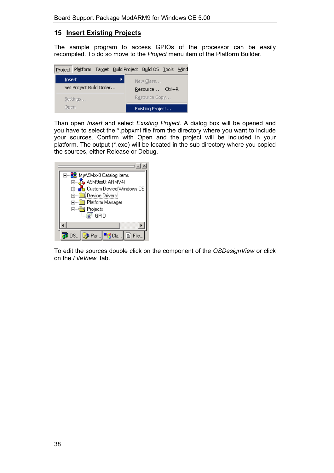# <span id="page-37-0"></span>**15 Insert Existing Projects**

The sample program to access GPIOs of the processor can be easily recompiled. To do so move to the *Project* menu item of the Platform Builder.



Than open *Insert* and select *Existing Project.* A dialog box will be opened and you have to select the \*.pbpxml file from the directory where you want to include your sources. Confirm with Open and the project will be included in your platform. The output (\*.exe) will be located in the sub directory where you copied the sources, either Release or Debug.



To edit the sources double click on the component of the *OSDesignView* or click on the *FileView* tab.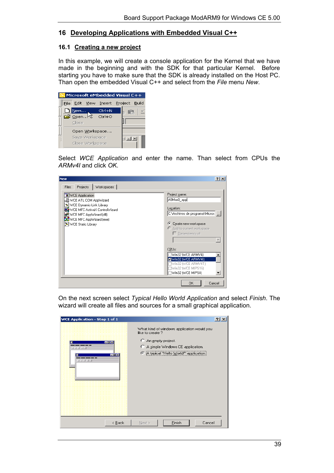# <span id="page-38-0"></span>**16 Developing Applications with Embedded Visual C++**

#### **16.1 Creating a new project**

In this example, we will create a console application for the Kernel that we have made in the beginning and with the SDK for that particular Kernel. Before starting you have to make sure that the SDK is already installed on the Host PC. Than open the embedded Visual C++ and select from the *File* menu *New*.



Select *WCE Application* and enter the name. Than select from CPUs the *ARMv4I* and click *OK*.



On the next screen select *Typical Hello World Application* and select *Finish*. The wizard will create all files and sources for a small graphical application.

| <b>WCE Application - Step 1 of 1</b><br>EDE<br><b>EIGIX</b> | $ ?  \times$<br>What kind of windows application would you<br>like to create?<br>An empty project.<br>A simple Windows CE application.<br>C A typical "Hello World!" application. |  |
|-------------------------------------------------------------|-----------------------------------------------------------------------------------------------------------------------------------------------------------------------------------|--|
| $\leq$ $\underline{B}$ ack                                  | Einish<br>Cancel<br>Next                                                                                                                                                          |  |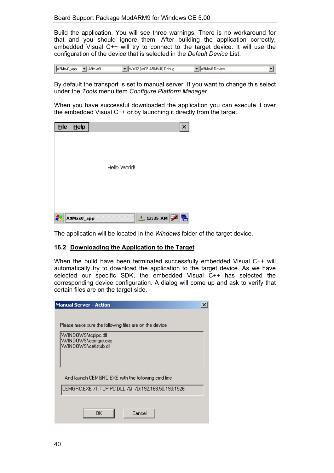<span id="page-39-0"></span>Build the application. You will see three warnings. There is no workaround for that and you should ignore them. After building the application correctly, embedded Visual C++ will try to connect to the target device. It will use the configuration of the device that is selected in the *Default Device* List.

| HIA9Mxx0 | . .     | . ARMV4D P<br>' NVCF      |                      |  |
|----------|---------|---------------------------|----------------------|--|
| app<br>- | `ASMRA' | 'I Debuc<br>∄Wir<br>.1.77 | A9MxxU Device<br>. . |  |
|          |         |                           |                      |  |

By default the transport is set to manual server. If you want to change this select under the *Tools* menu item *Configure Platform Manager*.

When you have successful downloaded the application you can execute it over the embedded Visual C++ or by launching it directly from the target.

| <b>File</b><br>I | Help       |                        | $\times$ |
|------------------|------------|------------------------|----------|
|                  |            |                        |          |
|                  |            |                        |          |
|                  |            |                        |          |
|                  |            | Hello World!           |          |
|                  |            |                        |          |
|                  |            |                        |          |
|                  |            |                        |          |
|                  | А9Мхх0_арр | $\frac{1}{2}$ 12:35 AM | 뤔        |

The application will be located in the *Windows* folder of the target device.

#### **16.2 Downloading the Application to the Target**

When the build have been terminated successfully embedded Visual C++ will automatically try to download the application to the target device. As we have selected our specific SDK, the embedded Visual C++ has selected the corresponding device configuration. A dialog will come up and ask to verify that certain files are on the target side.

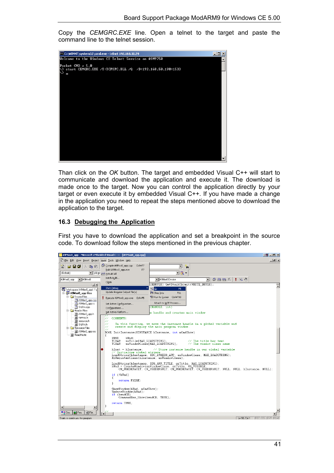<span id="page-40-0"></span>Copy the *CEMGRC.EXE* line. Open a telnet to the target and paste the command line to the telnet session.



Than click on the *OK* button. The target and embedded Visual C++ will start to communicate and download the application and execute it. The download is made once to the target. Now you can control the application directly by your target or even execute it by embedded Visual C++. If you have made a change in the application you need to repeat the steps mentioned above to download the application to the target.

# **16.3 Debugging the Application**

First you have to download the application and set a breakpoint in the source code. To download follow the steps mentioned in the previous chapter.

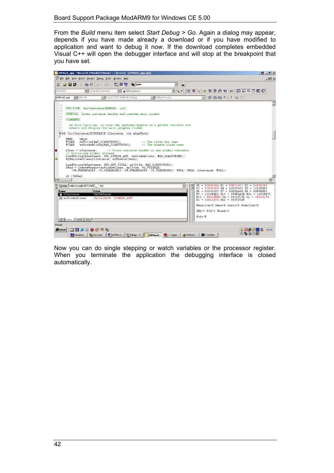From the *Build* menu item select *Start Debug > Go*. Again a dialog may appear, depends if you have made already a download or if you have modified to application and want to debug it now. If the download completes embedded Visual C++ will open the debugger interface and will stop at the breakpoint that you have set.



Now you can do single stepping or watch variables or the processor register. When you terminate the application the debugging interface is closed automatically.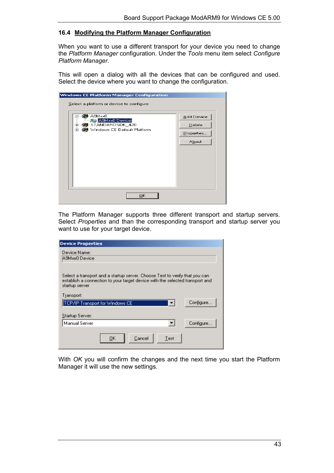### <span id="page-42-0"></span>**16.4 Modifying the Platform Manager Configuration**

When you want to use a different transport for your device you need to change the *Platform Manager* configuration. Under the *Tools* menu item select *Configure Platform Manager*.

This will open a dialog with all the devices that can be configured and used. Select the device where you want to change the configuration.

| <b>Windows CE Platform Manager Configuration</b> |              |  |
|--------------------------------------------------|--------------|--|
| Select a platform or device to configure         |              |  |
|                                                  |              |  |
| A9Mxx0                                           | Add Device   |  |
| A9Mxx0 Device<br>⊟ © STANDARDSDK_420             | Delete       |  |
| 由 - Go Windows CE Default Platform               | Properties   |  |
|                                                  | <b>About</b> |  |
|                                                  |              |  |
|                                                  |              |  |
|                                                  |              |  |
|                                                  |              |  |
|                                                  |              |  |
|                                                  |              |  |
| QK                                               |              |  |

The Platform Manager supports three different transport and startup servers. Select *Properties* and than the corresponding transport and startup server you want to use for your target device.

| <b>Device Properties</b>                                                                                                                                                      |
|-------------------------------------------------------------------------------------------------------------------------------------------------------------------------------|
| Device Name:<br>A9Mxx0 Device                                                                                                                                                 |
| Select a transport and a startup server. Choose Test to verify that you can<br>establish a connection to your target device with the selected transport and<br>startup server |
| T <u>r</u> ansport:                                                                                                                                                           |
| Configure<br>TCP/IP Transport for Windows CE                                                                                                                                  |
| Startup Server:                                                                                                                                                               |
| <b>Manual Server</b><br>Configure                                                                                                                                             |
| OΚ<br>Cancel<br>Test                                                                                                                                                          |

With *OK* you will confirm the changes and the next time you start the Platform Manager it will use the new settings.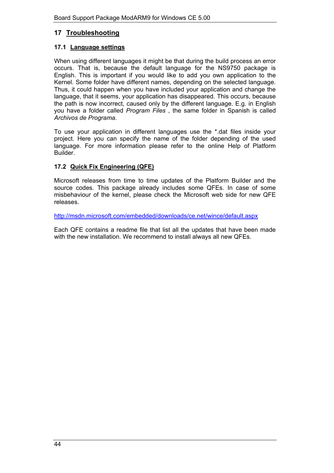# <span id="page-43-0"></span>**17 Troubleshooting**

# **17.1 Language settings**

When using different languages it might be that during the build process an error occurs. That is, because the default language for the NS9750 package is English. This is important if you would like to add you own application to the Kernel. Some folder have different names, depending on the selected language. Thus, it could happen when you have included your application and change the language, that it seems, your application has disappeared. This occurs, because the path is now incorrect, caused only by the different language. E.g. in English you have a folder called *Program Files* , the same folder in Spanish is called *Archivos de Programa*.

To use your application in different languages use the \*.dat files inside your project. Here you can specify the name of the folder depending of the used language. For more information please refer to the online Help of Platform Builder.

# **17.2 Quick Fix Engineering (QFE)**

Microsoft releases from time to time updates of the Platform Builder and the source codes. This package already includes some QFEs. In case of some misbehaviour of the kernel, please check the Microsoft web side for new QFE releases.

<http://msdn.microsoft.com/embedded/downloads/ce.net/wince/default.aspx>

Each QFE contains a readme file that list all the updates that have been made with the new installation. We recommend to install always all new QFEs.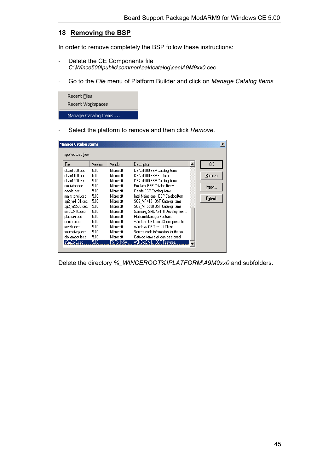# <span id="page-44-0"></span>**18 Removing the BSP**

In order to remove completely the BSP follow these instructions:

- Delete the CE Components file *C:\Wince500\public\common\oak\catalog\cec\A9M9xx0.cec*
- Go to the *File* menu of Platform Builder and click on *Manage Catalog Items*



- Select the platform to remove and then click *Remove*.

| <b>Manage Catalog Items</b> |         |             |                                     |         |
|-----------------------------|---------|-------------|-------------------------------------|---------|
| Imported .cec files:        |         |             |                                     |         |
| <b>File</b>                 | Version | Vendor      | Description<br>$\blacktriangle$     | 0K      |
| dbau1000.cec                | 5.00    | Microsoft   | DBAu1000 BSP Catalog Items          |         |
| dbau1100.cec                | 5.00    | Microsoft   | DBAu1100 BSP Features               | Remove  |
| dbau1500.cec.               | 5.00    | Microsoft   | DBAu1500 BSP Catalog Items          |         |
| emulator.cec                | 5.00    | Microsoft   | Emulator BSP Catalog Items          | Import  |
| aeode.cec                   | 5.00    | Microsoft   | Geode BSP Catalog Items             |         |
| mainstoneii.cec             | 5.00    | Microsoft   | Intel Mainstonell BSP Catalog Items | Refresh |
| sq2 vr4131.cec              | 5.00    | Microsoft   | SG2 VR4131 BSP Catalog Items        |         |
| sq2 vr5500.cec              | 5.00    | Microsoft   | SG2 VR5500 BSP Catalog Items        |         |
| smdk2410.cec                | 5.00    | Microsoft   | Samsung SMDK2410 Development        |         |
| platman.cec                 | 5.00    | Microsoft   | Platform Manager Features           |         |
| coreos.cec                  | 5.00    | Microsoft   | Windows CE Core OS components       |         |
| wcetk.cec                   | 5.00    | Microsoft   | Windows CE Test Kit Client.         |         |
| sourcetags.cec              | 5.00    | Microsoft   | Source code information for the sou |         |
| clonemodules.c              | 5.00    | Microsoft   | Catalog items that can be cloned.   |         |
| a9m9xx0.cec                 | 5.00    | FS Forth-Sy | A9M9xx0 V1.1 BSP Features.          |         |

Delete the directory *%\_WINCEROOT%\PLATFORM\A9M9xx0* and subfolders.